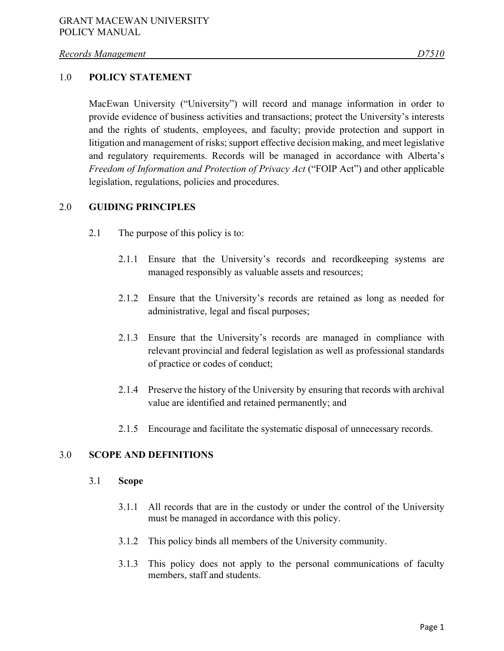### 1.0 **POLICY STATEMENT**

MacEwan University ("University") will record and manage information in order to provide evidence of business activities and transactions; protect the University's interests and the rights of students, employees, and faculty; provide protection and support in litigation and management of risks; support effective decision making, and meet legislative and regulatory requirements. Records will be managed in accordance with Alberta's *Freedom of Information and Protection of Privacy Act* ("FOIP Act") and other applicable legislation, regulations, policies and procedures.

### 2.0 **GUIDING PRINCIPLES**

- 2.1 The purpose of this policy is to:
	- 2.1.1 Ensure that the University's records and recordkeeping systems are managed responsibly as valuable assets and resources;
	- 2.1.2 Ensure that the University's records are retained as long as needed for administrative, legal and fiscal purposes;
	- 2.1.3 Ensure that the University's records are managed in compliance with relevant provincial and federal legislation as well as professional standards of practice or codes of conduct;
	- 2.1.4 Preserve the history of the University by ensuring that records with archival value are identified and retained permanently; and
	- 2.1.5 Encourage and facilitate the systematic disposal of unnecessary records.

### 3.0 **SCOPE AND DEFINITIONS**

#### 3.1 **Scope**

- 3.1.1 All records that are in the custody or under the control of the University must be managed in accordance with this policy.
- 3.1.2 This policy binds all members of the University community.
- 3.1.3 This policy does not apply to the personal communications of faculty members, staff and students.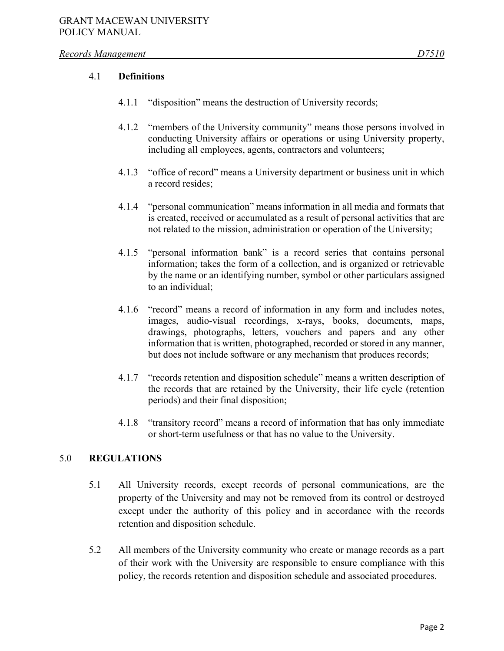#### *Records Management D7510*

### 4.1 **Definitions**

- 4.1.1 "disposition" means the destruction of University records;
- 4.1.2 "members of the University community" means those persons involved in conducting University affairs or operations or using University property, including all employees, agents, contractors and volunteers;
- 4.1.3 "office of record" means a University department or business unit in which a record resides;
- 4.1.4 "personal communication" means information in all media and formats that is created, received or accumulated as a result of personal activities that are not related to the mission, administration or operation of the University;
- 4.1.5 "personal information bank" is a record series that contains personal information; takes the form of a collection, and is organized or retrievable by the name or an identifying number, symbol or other particulars assigned to an individual;
- 4.1.6 "record" means a record of information in any form and includes notes, images, audio-visual recordings, x-rays, books, documents, maps, drawings, photographs, letters, vouchers and papers and any other information that is written, photographed, recorded or stored in any manner, but does not include software or any mechanism that produces records;
- 4.1.7 "records retention and disposition schedule" means a written description of the records that are retained by the University, their life cycle (retention periods) and their final disposition;
- 4.1.8 "transitory record" means a record of information that has only immediate or short-term usefulness or that has no value to the University.

## 5.0 **REGULATIONS**

- 5.1 All University records, except records of personal communications, are the property of the University and may not be removed from its control or destroyed except under the authority of this policy and in accordance with the records retention and disposition schedule.
- 5.2 All members of the University community who create or manage records as a part of their work with the University are responsible to ensure compliance with this policy, the records retention and disposition schedule and associated procedures.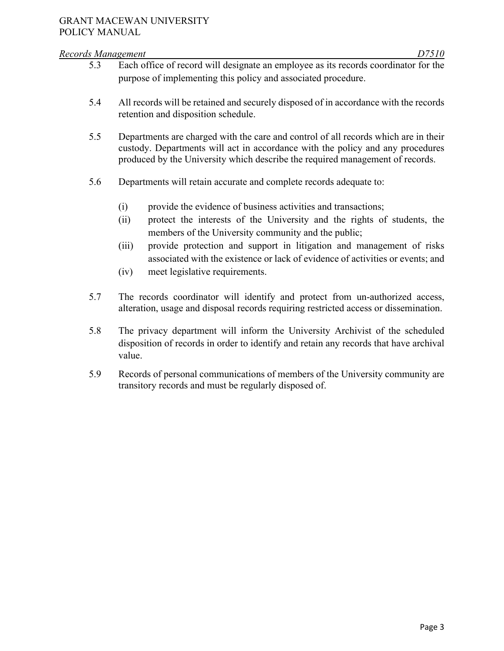#### *Records Management D7510*

- 5.3 Each office of record will designate an employee as its records coordinator for the purpose of implementing this policy and associated procedure.
- 5.4 All records will be retained and securely disposed of in accordance with the records retention and disposition schedule.
- 5.5 Departments are charged with the care and control of all records which are in their custody. Departments will act in accordance with the policy and any procedures produced by the University which describe the required management of records.
- 5.6 Departments will retain accurate and complete records adequate to:
	- (i) provide the evidence of business activities and transactions;
	- (ii) protect the interests of the University and the rights of students, the members of the University community and the public;
	- (iii) provide protection and support in litigation and management of risks associated with the existence or lack of evidence of activities or events; and
	- (iv) meet legislative requirements.
- 5.7 The records coordinator will identify and protect from un-authorized access, alteration, usage and disposal records requiring restricted access or dissemination.
- 5.8 The privacy department will inform the University Archivist of the scheduled disposition of records in order to identify and retain any records that have archival value.
- 5.9 Records of personal communications of members of the University community are transitory records and must be regularly disposed of.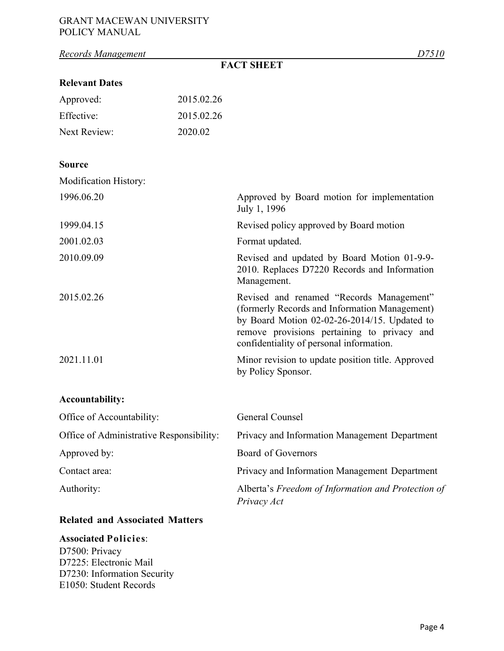## GRANT MACEWAN UNIVERSITY POLICY MANUAL

| Records Management                       |            | D7510                                                                                                                                                                                                                                   |
|------------------------------------------|------------|-----------------------------------------------------------------------------------------------------------------------------------------------------------------------------------------------------------------------------------------|
|                                          |            | <b>FACT SHEET</b>                                                                                                                                                                                                                       |
| <b>Relevant Dates</b>                    |            |                                                                                                                                                                                                                                         |
| Approved:                                | 2015.02.26 |                                                                                                                                                                                                                                         |
| Effective:                               | 2015.02.26 |                                                                                                                                                                                                                                         |
| <b>Next Review:</b>                      | 2020.02    |                                                                                                                                                                                                                                         |
| <b>Source</b>                            |            |                                                                                                                                                                                                                                         |
| Modification History:                    |            |                                                                                                                                                                                                                                         |
| 1996.06.20                               |            | Approved by Board motion for implementation<br>July 1, 1996                                                                                                                                                                             |
| 1999.04.15                               |            | Revised policy approved by Board motion                                                                                                                                                                                                 |
| 2001.02.03                               |            | Format updated.                                                                                                                                                                                                                         |
| 2010.09.09                               |            | Revised and updated by Board Motion 01-9-9-<br>2010. Replaces D7220 Records and Information<br>Management.                                                                                                                              |
| 2015.02.26                               |            | Revised and renamed "Records Management"<br>(formerly Records and Information Management)<br>by Board Motion $02-02-26-2014/15$ . Updated to<br>remove provisions pertaining to privacy and<br>confidentiality of personal information. |
| 2021.11.01                               |            | Minor revision to update position title. Approved<br>by Policy Sponsor.                                                                                                                                                                 |
| <b>Accountability:</b>                   |            |                                                                                                                                                                                                                                         |
| Office of Accountability:                |            | General Counsel                                                                                                                                                                                                                         |
| Office of Administrative Responsibility: |            | Privacy and Information Management Department                                                                                                                                                                                           |
| Approved by:                             |            | Board of Governors                                                                                                                                                                                                                      |
| Contact area:                            |            | Privacy and Information Management Department                                                                                                                                                                                           |
| Authority:                               |            | Alberta's Freedom of Information and Protection of<br>Privacy Act                                                                                                                                                                       |

# **Related and Associated Matters**

## **Associated Policies**:

D7500: Privacy D7225: Electronic Mail D7230: Information Security E1050: Student Records